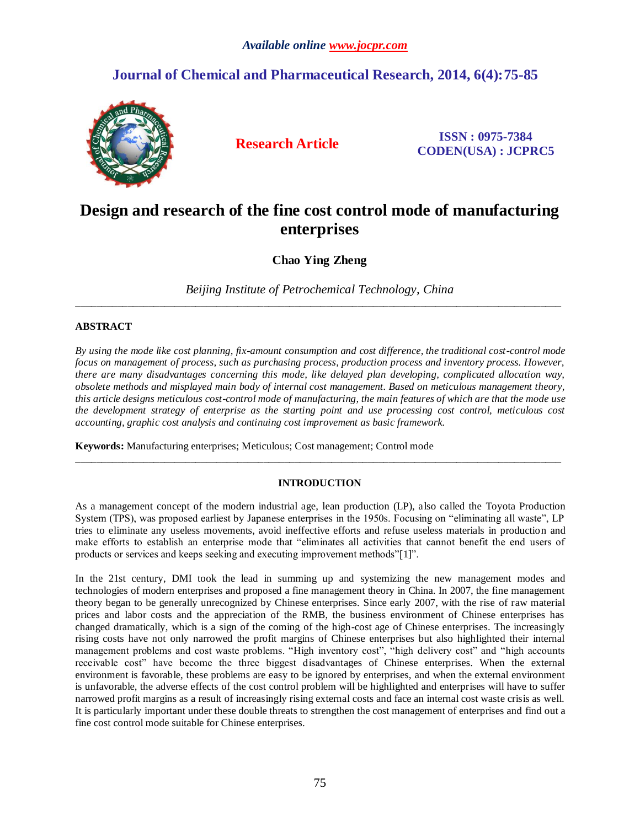### *Available online www.jocpr.com*

## **Journal of Chemical and Pharmaceutical Research, 2014, 6(4):75-85**



**Research Article ISSN : 0975-7384 CODEN(USA) : JCPRC5**

# **Design and research of the fine cost control mode of manufacturing enterprises**

**Chao Ying Zheng**

*Beijing Institute of Petrochemical Technology, China* \_\_\_\_\_\_\_\_\_\_\_\_\_\_\_\_\_\_\_\_\_\_\_\_\_\_\_\_\_\_\_\_\_\_\_\_\_\_\_\_\_\_\_\_\_\_\_\_\_\_\_\_\_\_\_\_\_\_\_\_\_\_\_\_\_\_\_\_\_\_\_\_\_\_\_\_\_\_\_\_\_\_\_\_\_\_\_\_\_\_\_\_\_

#### **ABSTRACT**

*By using the mode like cost planning, fix-amount consumption and cost difference, the traditional cost-control mode focus on management of process, such as purchasing process, production process and inventory process. However, there are many disadvantages concerning this mode, like delayed plan developing, complicated allocation way, obsolete methods and misplayed main body of internal cost management. Based on meticulous management theory, this article designs meticulous cost-control mode of manufacturing, the main features of which are that the mode use the development strategy of enterprise as the starting point and use processing cost control, meticulous cost accounting, graphic cost analysis and continuing cost improvement as basic framework.*

**Keywords:** Manufacturing enterprises; Meticulous; Cost management; Control mode

#### **INTRODUCTION**

\_\_\_\_\_\_\_\_\_\_\_\_\_\_\_\_\_\_\_\_\_\_\_\_\_\_\_\_\_\_\_\_\_\_\_\_\_\_\_\_\_\_\_\_\_\_\_\_\_\_\_\_\_\_\_\_\_\_\_\_\_\_\_\_\_\_\_\_\_\_\_\_\_\_\_\_\_\_\_\_\_\_\_\_\_\_\_\_\_\_\_\_\_

As a management concept of the modern industrial age, lean production (LP), also called the Toyota Production System (TPS), was proposed earliest by Japanese enterprises in the 1950s. Focusing on "eliminating all waste", LP tries to eliminate any useless movements, avoid ineffective efforts and refuse useless materials in production and make efforts to establish an enterprise mode that "eliminates all activities that cannot benefit the end users of products or services and keeps seeking and executing improvement methods"[1]".

In the 21st century, DMI took the lead in summing up and systemizing the new management modes and technologies of modern enterprises and proposed a fine management theory in China. In 2007, the fine management theory began to be generally unrecognized by Chinese enterprises. Since early 2007, with the rise of raw material prices and labor costs and the appreciation of the RMB, the business environment of Chinese enterprises has changed dramatically, which is a sign of the coming of the high-cost age of Chinese enterprises. The increasingly rising costs have not only narrowed the profit margins of Chinese enterprises but also highlighted their internal management problems and cost waste problems. "High inventory cost", "high delivery cost" and "high accounts receivable cost" have become the three biggest disadvantages of Chinese enterprises. When the external environment is favorable, these problems are easy to be ignored by enterprises, and when the external environment is unfavorable, the adverse effects of the cost control problem will be highlighted and enterprises will have to suffer narrowed profit margins as a result of increasingly rising external costs and face an internal cost waste crisis as well. It is particularly important under these double threats to strengthen the cost management of enterprises and find out a fine cost control mode suitable for Chinese enterprises.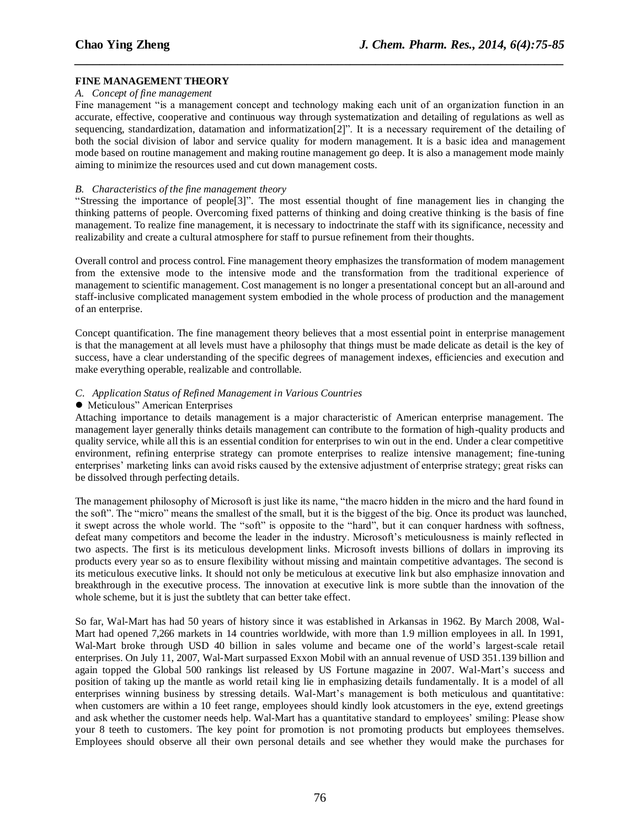#### **FINE MANAGEMENT THEORY**

#### *A. Concept of fine management*

Fine management "is a management concept and technology making each unit of an organization function in an accurate, effective, cooperative and continuous way through systematization and detailing of regulations as well as sequencing, standardization, datamation and informatization[2]". It is a necessary requirement of the detailing of both the social division of labor and service quality for modern management. It is a basic idea and management mode based on routine management and making routine management go deep. It is also a management mode mainly aiming to minimize the resources used and cut down management costs.

*\_\_\_\_\_\_\_\_\_\_\_\_\_\_\_\_\_\_\_\_\_\_\_\_\_\_\_\_\_\_\_\_\_\_\_\_\_\_\_\_\_\_\_\_\_\_\_\_\_\_\_\_\_\_\_\_\_\_\_\_\_\_\_\_\_\_\_\_\_\_\_\_\_\_\_\_\_\_*

#### *B. Characteristics of the fine management theory*

"Stressing the importance of people[3]". The most essential thought of fine management lies in changing the thinking patterns of people. Overcoming fixed patterns of thinking and doing creative thinking is the basis of fine management. To realize fine management, it is necessary to indoctrinate the staff with its significance, necessity and realizability and create a cultural atmosphere for staff to pursue refinement from their thoughts.

Overall control and process control. Fine management theory emphasizes the transformation of modern management from the extensive mode to the intensive mode and the transformation from the traditional experience of management to scientific management. Cost management is no longer a presentational concept but an all-around and staff-inclusive complicated management system embodied in the whole process of production and the management of an enterprise.

Concept quantification. The fine management theory believes that a most essential point in enterprise management is that the management at all levels must have a philosophy that things must be made delicate as detail is the key of success, have a clear understanding of the specific degrees of management indexes, efficiencies and execution and make everything operable, realizable and controllable.

#### *C. Application Status of Refined Management in Various Countries*

#### Meticulous" American Enterprises

Attaching importance to details management is a major characteristic of American enterprise management. The management layer generally thinks details management can contribute to the formation of high-quality products and quality service, while all this is an essential condition for enterprises to win out in the end. Under a clear competitive environment, refining enterprise strategy can promote enterprises to realize intensive management; fine-tuning enterprises' marketing links can avoid risks caused by the extensive adjustment of enterprise strategy; great risks can be dissolved through perfecting details.

The management philosophy of Microsoft is just like its name, "the macro hidden in the micro and the hard found in the soft". The "micro" means the smallest of the small, but it is the biggest of the big. Once its product was launched, it swept across the whole world. The "soft" is opposite to the "hard", but it can conquer hardness with softness, defeat many competitors and become the leader in the industry. Microsoft's meticulousness is mainly reflected in two aspects. The first is its meticulous development links. Microsoft invests billions of dollars in improving its products every year so as to ensure flexibility without missing and maintain competitive advantages. The second is its meticulous executive links. It should not only be meticulous at executive link but also emphasize innovation and breakthrough in the executive process. The innovation at executive link is more subtle than the innovation of the whole scheme, but it is just the subtlety that can better take effect.

So far, Wal-Mart has had 50 years of history since it was established in Arkansas in 1962. By March 2008, Wal-Mart had opened 7,266 markets in 14 countries worldwide, with more than 1.9 million employees in all. In 1991, Wal-Mart broke through USD 40 billion in sales volume and became one of the world's largest-scale retail enterprises. On July 11, 2007, Wal-Mart surpassed Exxon Mobil with an annual revenue of USD 351.139 billion and again topped the Global 500 rankings list released by US Fortune magazine in 2007. Wal-Mart's success and position of taking up the mantle as world retail king lie in emphasizing details fundamentally. It is a model of all enterprises winning business by stressing details. Wal-Mart's management is both meticulous and quantitative: when customers are within a 10 feet range, employees should kindly look atcustomers in the eye, extend greetings and ask whether the customer needs help. Wal-Mart has a quantitative standard to employees' smiling: Please show your 8 teeth to customers. The key point for promotion is not promoting products but employees themselves. Employees should observe all their own personal details and see whether they would make the purchases for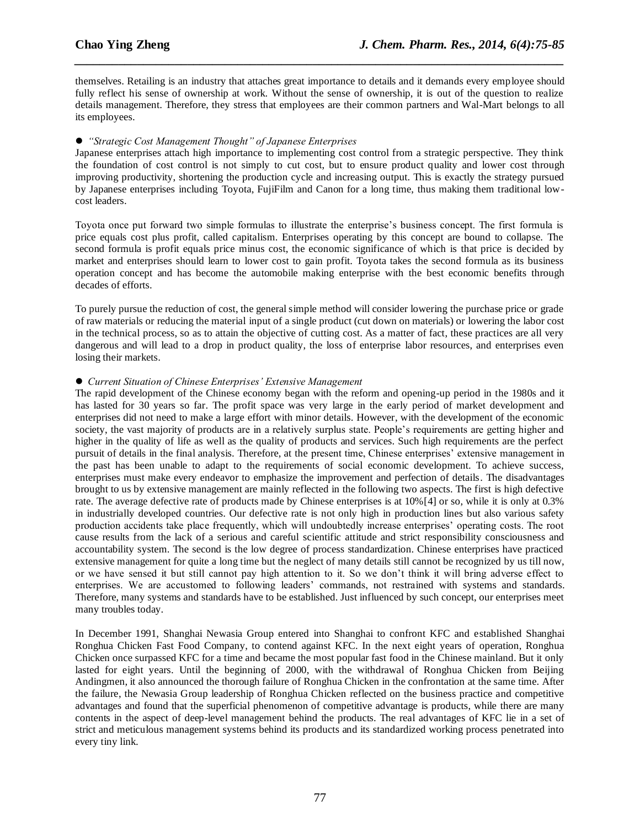themselves. Retailing is an industry that attaches great importance to details and it demands every employee should fully reflect his sense of ownership at work. Without the sense of ownership, it is out of the question to realize details management. Therefore, they stress that employees are their common partners and Wal-Mart belongs to all its employees.

*\_\_\_\_\_\_\_\_\_\_\_\_\_\_\_\_\_\_\_\_\_\_\_\_\_\_\_\_\_\_\_\_\_\_\_\_\_\_\_\_\_\_\_\_\_\_\_\_\_\_\_\_\_\_\_\_\_\_\_\_\_\_\_\_\_\_\_\_\_\_\_\_\_\_\_\_\_\_*

#### *"Strategic Cost Management Thought" of Japanese Enterprises*

Japanese enterprises attach high importance to implementing cost control from a strategic perspective. They think the foundation of cost control is not simply to cut cost, but to ensure product quality and lower cost through improving productivity, shortening the production cycle and increasing output. This is exactly the strategy pursued by Japanese enterprises including Toyota, FujiFilm and Canon for a long time, thus making them traditional lowcost leaders.

Toyota once put forward two simple formulas to illustrate the enterprise's business concept. The first formula is price equals cost plus profit, called capitalism. Enterprises operating by this concept are bound to collapse. The second formula is profit equals price minus cost, the economic significance of which is that price is decided by market and enterprises should learn to lower cost to gain profit. Toyota takes the second formula as its business operation concept and has become the automobile making enterprise with the best economic benefits through decades of efforts.

To purely pursue the reduction of cost, the general simple method will consider lowering the purchase price or grade of raw materials or reducing the material input of a single product (cut down on materials) or lowering the labor cost in the technical process, so as to attain the objective of cutting cost. As a matter of fact, these practices are all very dangerous and will lead to a drop in product quality, the loss of enterprise labor resources, and enterprises even losing their markets.

#### *Current Situation of Chinese Enterprises' Extensive Management*

The rapid development of the Chinese economy began with the reform and opening-up period in the 1980s and it has lasted for 30 years so far. The profit space was very large in the early period of market development and enterprises did not need to make a large effort with minor details. However, with the development of the economic society, the vast majority of products are in a relatively surplus state. People's requirements are getting higher and higher in the quality of life as well as the quality of products and services. Such high requirements are the perfect pursuit of details in the final analysis. Therefore, at the present time, Chinese enterprises' extensive management in the past has been unable to adapt to the requirements of social economic development. To achieve success, enterprises must make every endeavor to emphasize the improvement and perfection of details. The disadvantages brought to us by extensive management are mainly reflected in the following two aspects. The first is high defective rate. The average defective rate of products made by Chinese enterprises is at 10%[4] or so, while it is only at 0.3% in industrially developed countries. Our defective rate is not only high in production lines but also various safety production accidents take place frequently, which will undoubtedly increase enterprises' operating costs. The root cause results from the lack of a serious and careful scientific attitude and strict responsibility consciousness and accountability system. The second is the low degree of process standardization. Chinese enterprises have practiced extensive management for quite a long time but the neglect of many details still cannot be recognized by us till now, or we have sensed it but still cannot pay high attention to it. So we don't think it will bring adverse effect to enterprises. We are accustomed to following leaders' commands, not restrained with systems and standards. Therefore, many systems and standards have to be established. Just influenced by such concept, our enterprises meet many troubles today.

In December 1991, Shanghai Newasia Group entered into Shanghai to confront KFC and established Shanghai Ronghua Chicken Fast Food Company, to contend against KFC. In the next eight years of operation, Ronghua Chicken once surpassed KFC for a time and became the most popular fast food in the Chinese mainland. But it only lasted for eight years. Until the beginning of 2000, with the withdrawal of Ronghua Chicken from Beijing Andingmen, it also announced the thorough failure of Ronghua Chicken in the confrontation at the same time. After the failure, the Newasia Group leadership of Ronghua Chicken reflected on the business practice and competitive advantages and found that the superficial phenomenon of competitive advantage is products, while there are many contents in the aspect of deep-level management behind the products. The real advantages of KFC lie in a set of strict and meticulous management systems behind its products and its standardized working process penetrated into every tiny link.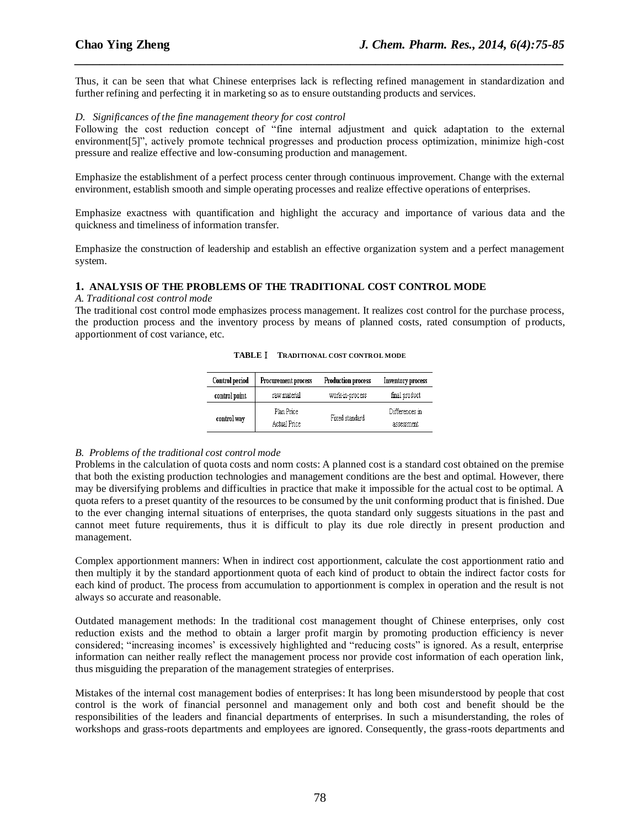Thus, it can be seen that what Chinese enterprises lack is reflecting refined management in standardization and further refining and perfecting it in marketing so as to ensure outstanding products and services.

*\_\_\_\_\_\_\_\_\_\_\_\_\_\_\_\_\_\_\_\_\_\_\_\_\_\_\_\_\_\_\_\_\_\_\_\_\_\_\_\_\_\_\_\_\_\_\_\_\_\_\_\_\_\_\_\_\_\_\_\_\_\_\_\_\_\_\_\_\_\_\_\_\_\_\_\_\_\_*

#### *D. Significances of the fine management theory for cost control*

Following the cost reduction concept of "fine internal adjustment and quick adaptation to the external environment[5]", actively promote technical progresses and production process optimization, minimize high-cost pressure and realize effective and low-consuming production and management.

Emphasize the establishment of a perfect process center through continuous improvement. Change with the external environment, establish smooth and simple operating processes and realize effective operations of enterprises.

Emphasize exactness with quantification and highlight the accuracy and importance of various data and the quickness and timeliness of information transfer.

Emphasize the construction of leadership and establish an effective organization system and a perfect management system.

#### **1. ANALYSIS OF THE PROBLEMS OF THE TRADITIONAL COST CONTROL MODE**

*A. Traditional cost control mode* 

The traditional cost control mode emphasizes process management. It realizes cost control for the purchase process, the production process and the inventory process by means of planned costs, rated consumption of products, apportionment of cost variance, etc.

| <b>TABLE I</b> | TRADITIONAL COST CONTROL MODE |
|----------------|-------------------------------|
|                |                               |

| Control period | <b>Production process</b><br>Procurement process |                 | Inventory process            |  |
|----------------|--------------------------------------------------|-----------------|------------------------------|--|
| control point  | raw material                                     | work-in-process | final product                |  |
| control way    | Plan Price<br>Actual Price                       | Fixed standard  | Differences in<br>assessment |  |

#### *B. Problems of the traditional cost control mode*

Problems in the calculation of quota costs and norm costs: A planned cost is a standard cost obtained on the premise that both the existing production technologies and management conditions are the best and optimal. However, there may be diversifying problems and difficulties in practice that make it impossible for the actual cost to be optimal. A quota refers to a preset quantity of the resources to be consumed by the unit conforming product that is finished. Due to the ever changing internal situations of enterprises, the quota standard only suggests situations in the past and cannot meet future requirements, thus it is difficult to play its due role directly in present production and management.

Complex apportionment manners: When in indirect cost apportionment, calculate the cost apportionment ratio and then multiply it by the standard apportionment quota of each kind of product to obtain the indirect factor costs for each kind of product. The process from accumulation to apportionment is complex in operation and the result is not always so accurate and reasonable.

Outdated management methods: In the traditional cost management thought of Chinese enterprises, only cost reduction exists and the method to obtain a larger profit margin by promoting production efficiency is never considered; "increasing incomes' is excessively highlighted and "reducing costs" is ignored. As a result, enterprise information can neither really reflect the management process nor provide cost information of each operation link, thus misguiding the preparation of the management strategies of enterprises.

Mistakes of the internal cost management bodies of enterprises: It has long been misunderstood by people that cost control is the work of financial personnel and management only and both cost and benefit should be the responsibilities of the leaders and financial departments of enterprises. In such a misunderstanding, the roles of workshops and grass-roots departments and employees are ignored. Consequently, the grass-roots departments and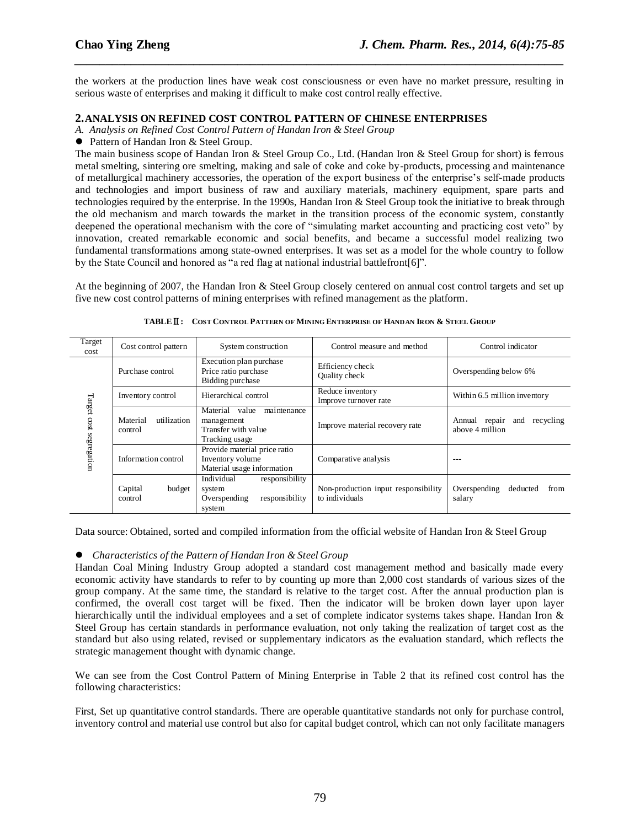the workers at the production lines have weak cost consciousness or even have no market pressure, resulting in serious waste of enterprises and making it difficult to make cost control really effective.

*\_\_\_\_\_\_\_\_\_\_\_\_\_\_\_\_\_\_\_\_\_\_\_\_\_\_\_\_\_\_\_\_\_\_\_\_\_\_\_\_\_\_\_\_\_\_\_\_\_\_\_\_\_\_\_\_\_\_\_\_\_\_\_\_\_\_\_\_\_\_\_\_\_\_\_\_\_\_*

#### **2.ANALYSIS ON REFINED COST CONTROL PATTERN OF CHINESE ENTERPRISES**

*A. Analysis on Refined Cost Control Pattern of Handan Iron & Steel Group*

● Pattern of Handan Iron & Steel Group.

The main business scope of Handan Iron & Steel Group Co., Ltd. (Handan Iron & Steel Group for short) is ferrous metal smelting, sintering ore smelting, making and sale of coke and coke by-products, processing and maintenance of metallurgical machinery accessories, the operation of the export business of the enterprise's self-made products and technologies and import business of raw and auxiliary materials, machinery equipment, spare parts and technologies required by the enterprise. In the 1990s, Handan Iron & Steel Group took the initiative to break through the old mechanism and march towards the market in the transition process of the economic system, constantly deepened the operational mechanism with the core of "simulating market accounting and practicing cost veto" by innovation, created remarkable economic and social benefits, and became a successful model realizing two fundamental transformations among state-owned enterprises. It was set as a model for the whole country to follow by the State Council and honored as "a red flag at national industrial battlefront[6]".

At the beginning of 2007, the Handan Iron & Steel Group closely centered on annual cost control targets and set up five new cost control patterns of mining enterprises with refined management as the platform.

| Target<br>cost | Cost control pattern                                                                                                                                     | System construction                                                                | Control measure and method                            | Control indicator                          |  |
|----------------|----------------------------------------------------------------------------------------------------------------------------------------------------------|------------------------------------------------------------------------------------|-------------------------------------------------------|--------------------------------------------|--|
|                | Purchase control                                                                                                                                         | Execution plan purchase<br>Price ratio purchase<br>Bidding purchase                | Efficiency check<br>Quality check                     | Overspending below 6%                      |  |
|                | Inventory control                                                                                                                                        | Hierarchical control                                                               | Reduce inventory<br>Improve turnover rate             | Within 6.5 million inventory               |  |
|                | Target cost segregation<br>Material<br>maintenance<br>value<br>utilization<br>Material<br>management<br>Transfer with value<br>control<br>Tracking usage | Improve material recovery rate                                                     | Annual repair<br>recycling<br>and<br>above 4 million  |                                            |  |
|                | Information control                                                                                                                                      | Provide material price ratio<br>Inventory volume<br>Material usage information     | Comparative analysis                                  |                                            |  |
|                | Capital<br>budget<br>control                                                                                                                             | Individual<br>responsibility<br>system<br>responsibility<br>Overspending<br>system | Non-production input responsibility<br>to individuals | Overspending<br>deducted<br>from<br>salary |  |

TABLE II: COST CONTROL PATTERN OF MINING ENTERPRISE OF HANDAN IRON & STEEL GROUP

Data source: Obtained, sorted and compiled information from the official website of Handan Iron & Steel Group

#### *Characteristics of the Pattern of Handan Iron & Steel Group*

Handan Coal Mining Industry Group adopted a standard cost management method and basically made every economic activity have standards to refer to by counting up more than 2,000 cost standards of various sizes of the group company. At the same time, the standard is relative to the target cost. After the annual production plan is confirmed, the overall cost target will be fixed. Then the indicator will be broken down layer upon layer hierarchically until the individual employees and a set of complete indicator systems takes shape. Handan Iron & Steel Group has certain standards in performance evaluation, not only taking the realization of target cost as the standard but also using related, revised or supplementary indicators as the evaluation standard, which reflects the strategic management thought with dynamic change.

We can see from the Cost Control Pattern of Mining Enterprise in Table 2 that its refined cost control has the following characteristics:

First, Set up quantitative control standards. There are operable quantitative standards not only for purchase control, inventory control and material use control but also for capital budget control, which can not only facilitate managers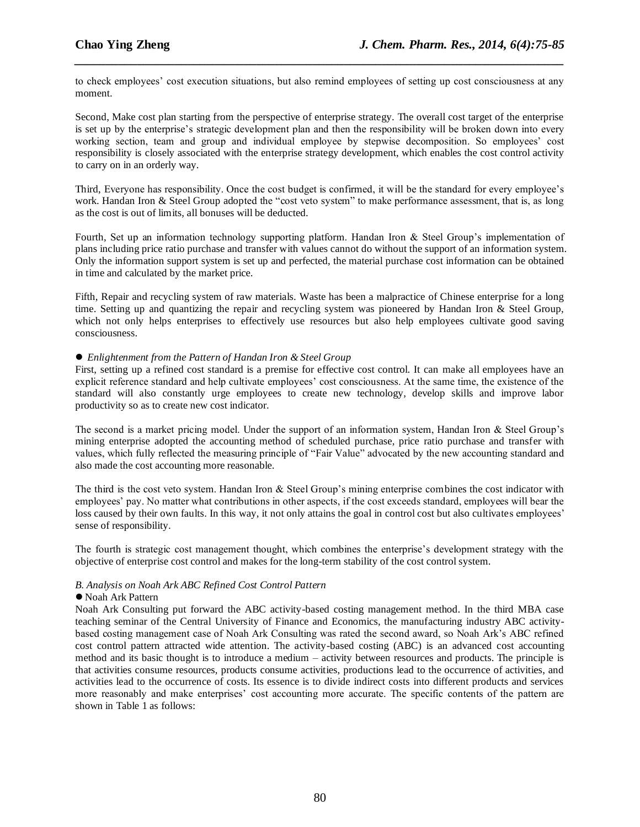to check employees' cost execution situations, but also remind employees of setting up cost consciousness at any moment.

*\_\_\_\_\_\_\_\_\_\_\_\_\_\_\_\_\_\_\_\_\_\_\_\_\_\_\_\_\_\_\_\_\_\_\_\_\_\_\_\_\_\_\_\_\_\_\_\_\_\_\_\_\_\_\_\_\_\_\_\_\_\_\_\_\_\_\_\_\_\_\_\_\_\_\_\_\_\_*

Second, Make cost plan starting from the perspective of enterprise strategy. The overall cost target of the enterprise is set up by the enterprise's strategic development plan and then the responsibility will be broken down into every working section, team and group and individual employee by stepwise decomposition. So employees' cost responsibility is closely associated with the enterprise strategy development, which enables the cost control activity to carry on in an orderly way.

Third, Everyone has responsibility. Once the cost budget is confirmed, it will be the standard for every employee's work. Handan Iron & Steel Group adopted the "cost veto system" to make performance assessment, that is, as long as the cost is out of limits, all bonuses will be deducted.

Fourth, Set up an information technology supporting platform. Handan Iron & Steel Group's implementation of plans including price ratio purchase and transfer with values cannot do without the support of an information system. Only the information support system is set up and perfected, the material purchase cost information can be obtained in time and calculated by the market price.

Fifth, Repair and recycling system of raw materials. Waste has been a malpractice of Chinese enterprise for a long time. Setting up and quantizing the repair and recycling system was pioneered by Handan Iron & Steel Group, which not only helps enterprises to effectively use resources but also help employees cultivate good saving consciousness.

#### *Enlightenment from the Pattern of Handan Iron & Steel Group*

First, setting up a refined cost standard is a premise for effective cost control. It can make all employees have an explicit reference standard and help cultivate employees' cost consciousness. At the same time, the existence of the standard will also constantly urge employees to create new technology, develop skills and improve labor productivity so as to create new cost indicator.

The second is a market pricing model. Under the support of an information system, Handan Iron & Steel Group's mining enterprise adopted the accounting method of scheduled purchase, price ratio purchase and transfer with values, which fully reflected the measuring principle of "Fair Value" advocated by the new accounting standard and also made the cost accounting more reasonable.

The third is the cost veto system. Handan Iron  $\&$  Steel Group's mining enterprise combines the cost indicator with employees' pay. No matter what contributions in other aspects, if the cost exceeds standard, employees will bear the loss caused by their own faults. In this way, it not only attains the goal in control cost but also cultivates employees' sense of responsibility.

The fourth is strategic cost management thought, which combines the enterprise's development strategy with the objective of enterprise cost control and makes for the long-term stability of the cost control system.

#### *B. Analysis on Noah Ark ABC Refined Cost Control Pattern*

#### Noah Ark Pattern

Noah Ark Consulting put forward the ABC activity-based costing management method. In the third MBA case teaching seminar of the Central University of Finance and Economics, the manufacturing industry ABC activitybased costing management case of Noah Ark Consulting was rated the second award, so Noah Ark's ABC refined cost control pattern attracted wide attention. The activity-based costing (ABC) is an advanced cost accounting method and its basic thought is to introduce a medium – activity between resources and products. The principle is that activities consume resources, products consume activities, productions lead to the occurrence of activities, and activities lead to the occurrence of costs. Its essence is to divide indirect costs into different products and services more reasonably and make enterprises' cost accounting more accurate. The specific contents of the pattern are shown in Table 1 as follows: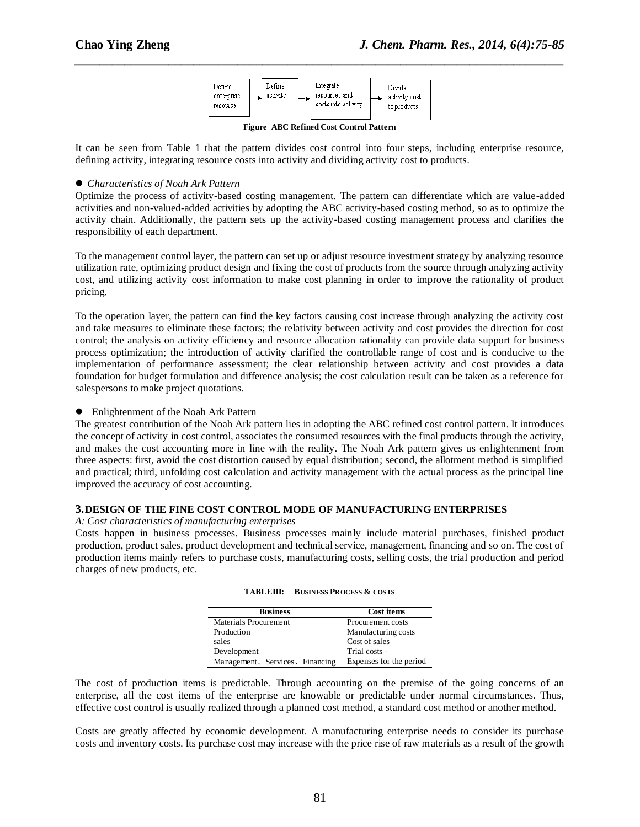

*\_\_\_\_\_\_\_\_\_\_\_\_\_\_\_\_\_\_\_\_\_\_\_\_\_\_\_\_\_\_\_\_\_\_\_\_\_\_\_\_\_\_\_\_\_\_\_\_\_\_\_\_\_\_\_\_\_\_\_\_\_\_\_\_\_\_\_\_\_\_\_\_\_\_\_\_\_\_*

**Figure ABC Refined Cost Control Pattern**

It can be seen from Table 1 that the pattern divides cost control into four steps, including enterprise resource, defining activity, integrating resource costs into activity and dividing activity cost to products.

#### *Characteristics of Noah Ark Pattern*

Optimize the process of activity-based costing management. The pattern can differentiate which are value-added activities and non-valued-added activities by adopting the ABC activity-based costing method, so as to optimize the activity chain. Additionally, the pattern sets up the activity-based costing management process and clarifies the responsibility of each department.

To the management control layer, the pattern can set up or adjust resource investment strategy by analyzing resource utilization rate, optimizing product design and fixing the cost of products from the source through analyzing activity cost, and utilizing activity cost information to make cost planning in order to improve the rationality of product pricing.

To the operation layer, the pattern can find the key factors causing cost increase through analyzing the activity cost and take measures to eliminate these factors; the relativity between activity and cost provides the direction for cost control; the analysis on activity efficiency and resource allocation rationality can provide data support for business process optimization; the introduction of activity clarified the controllable range of cost and is conducive to the implementation of performance assessment; the clear relationship between activity and cost provides a data foundation for budget formulation and difference analysis; the cost calculation result can be taken as a reference for salespersons to make project quotations.

• Enlightenment of the Noah Ark Pattern

The greatest contribution of the Noah Ark pattern lies in adopting the ABC refined cost control pattern. It introduces the concept of activity in cost control, associates the consumed resources with the final products through the activity, and makes the cost accounting more in line with the reality. The Noah Ark pattern gives us enlightenment from three aspects: first, avoid the cost distortion caused by equal distribution; second, the allotment method is simplified and practical; third, unfolding cost calculation and activity management with the actual process as the principal line improved the accuracy of cost accounting.

#### **3.DESIGN OF THE FINE COST CONTROL MODE OF MANUFACTURING ENTERPRISES**

#### *A: Cost characteristics of manufacturing enterprises*

Costs happen in business processes. Business processes mainly include material purchases, finished product production, product sales, product development and technical service, management, financing and so on. The cost of production items mainly refers to purchase costs, manufacturing costs, selling costs, the trial production and period charges of new products, etc.

| <b>Business</b>                 | Cost items              |
|---------------------------------|-------------------------|
| Materials Procurement           | Procurement costs       |
| Production                      | Manufacturing costs     |
| sales                           | Cost of sales           |
| Development                     | Trial costs -           |
| Management, Services, Financing | Expenses for the period |

| <b>TABLEIII:</b> | <b>BUSINESS PROCESS &amp; COSTS</b> |  |
|------------------|-------------------------------------|--|
|                  |                                     |  |

The cost of production items is predictable. Through accounting on the premise of the going concerns of an enterprise, all the cost items of the enterprise are knowable or predictable under normal circumstances. Thus, effective cost control is usually realized through a planned cost method, a standard cost method or another method.

Costs are greatly affected by economic development. A manufacturing enterprise needs to consider its purchase costs and inventory costs. Its purchase cost may increase with the price rise of raw materials as a result of the growth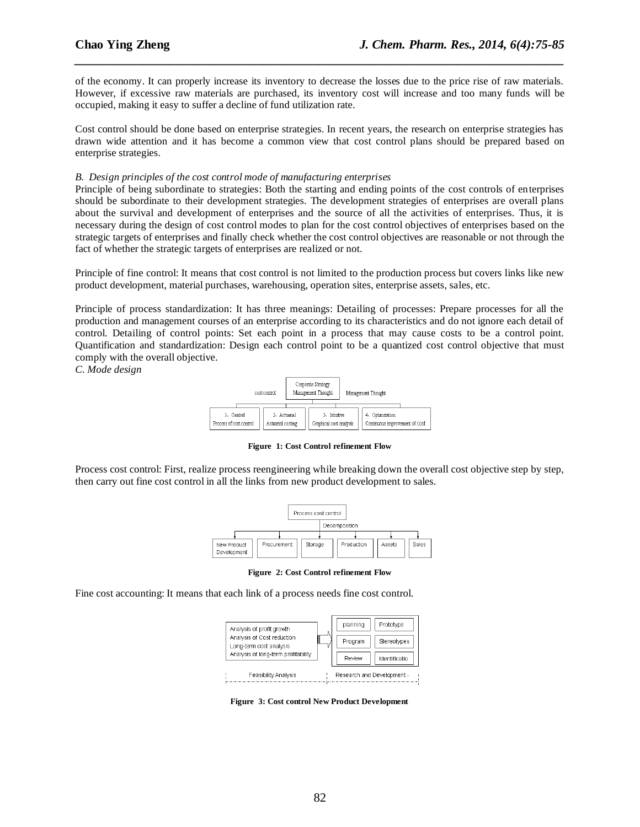of the economy. It can properly increase its inventory to decrease the losses due to the price rise of raw materials. However, if excessive raw materials are purchased, its inventory cost will increase and too many funds will be occupied, making it easy to suffer a decline of fund utilization rate.

*\_\_\_\_\_\_\_\_\_\_\_\_\_\_\_\_\_\_\_\_\_\_\_\_\_\_\_\_\_\_\_\_\_\_\_\_\_\_\_\_\_\_\_\_\_\_\_\_\_\_\_\_\_\_\_\_\_\_\_\_\_\_\_\_\_\_\_\_\_\_\_\_\_\_\_\_\_\_*

Cost control should be done based on enterprise strategies. In recent years, the research on enterprise strategies has drawn wide attention and it has become a common view that cost control plans should be prepared based on enterprise strategies.

#### *B. Design principles of the cost control mode of manufacturing enterprises*

Principle of being subordinate to strategies: Both the starting and ending points of the cost controls of enterprises should be subordinate to their development strategies. The development strategies of enterprises are overall plans about the survival and development of enterprises and the source of all the activities of enterprises. Thus, it is necessary during the design of cost control modes to plan for the cost control objectives of enterprises based on the strategic targets of enterprises and finally check whether the cost control objectives are reasonable or not through the fact of whether the strategic targets of enterprises are realized or not.

Principle of fine control: It means that cost control is not limited to the production process but covers links like new product development, material purchases, warehousing, operation sites, enterprise assets, sales, etc.

Principle of process standardization: It has three meanings: Detailing of processes: Prepare processes for all the production and management courses of an enterprise according to its characteristics and do not ignore each detail of control. Detailing of control points: Set each point in a process that may cause costs to be a control point. Quantification and standardization: Design each control point to be a quantized cost control objective that must comply with the overall objective.

*C. Mode design*



**Figure 1: Cost Control refinement Flow**

Process cost control: First, realize process reengineering while breaking down the overall cost objective step by step, then carry out fine cost control in all the links from new product development to sales.



**Figure 2: Cost Control refinement Flow**

Fine cost accounting: It means that each link of a process needs fine cost control.



**Figure 3: Cost control New Product Development**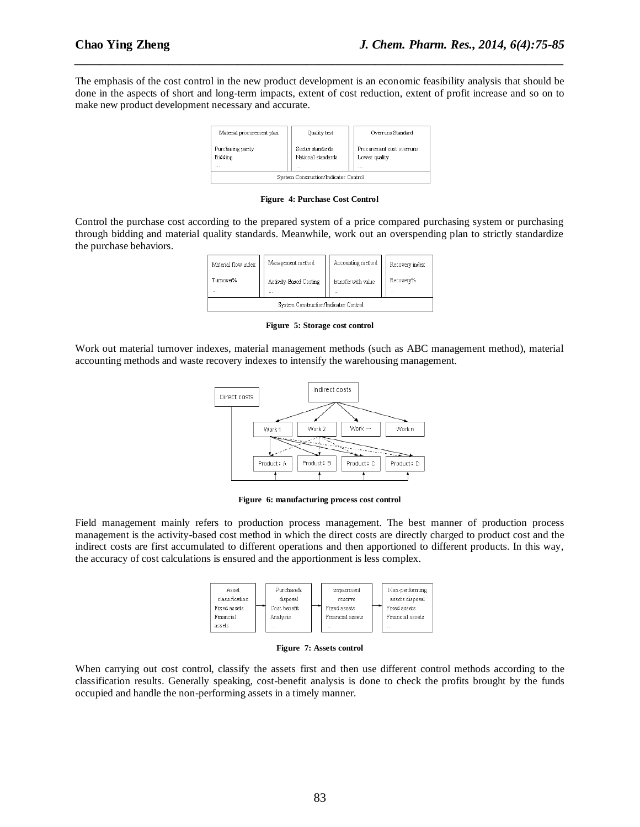The emphasis of the cost control in the new product development is an economic feasibility analysis that should be done in the aspects of short and long-term impacts, extent of cost reduction, extent of profit increase and so on to make new product development necessary and accurate.

*\_\_\_\_\_\_\_\_\_\_\_\_\_\_\_\_\_\_\_\_\_\_\_\_\_\_\_\_\_\_\_\_\_\_\_\_\_\_\_\_\_\_\_\_\_\_\_\_\_\_\_\_\_\_\_\_\_\_\_\_\_\_\_\_\_\_\_\_\_\_\_\_\_\_\_\_\_\_*



**Figure 4: Purchase Cost Control**

Control the purchase cost according to the prepared system of a price compared purchasing system or purchasing through bidding and material quality standards. Meanwhile, work out an overspending plan to strictly standardize the purchase behaviors.

| Material flow index                   | Management method                  | Accounting method               | Recovery index |  |  |
|---------------------------------------|------------------------------------|---------------------------------|----------------|--|--|
| Turnover%<br>$\cdots$                 | Activity-Based Costing<br>$\cdots$ | transfer with value<br>$\cdots$ | Recovery%<br>  |  |  |
| System Construction/Indicator Control |                                    |                                 |                |  |  |

**Figure 5: Storage cost control**

Work out material turnover indexes, material management methods (such as ABC management method), material accounting methods and waste recovery indexes to intensify the warehousing management.



**Figure 6: manufacturing process cost control**

Field management mainly refers to production process management. The best manner of production process management is the activity-based cost method in which the direct costs are directly charged to product cost and the indirect costs are first accumulated to different operations and then apportioned to different products. In this way, the accuracy of cost calculations is ensured and the apportionment is less complex.



**Figure 7: Assets control**

When carrying out cost control, classify the assets first and then use different control methods according to the classification results. Generally speaking, cost-benefit analysis is done to check the profits brought by the funds occupied and handle the non-performing assets in a timely manner.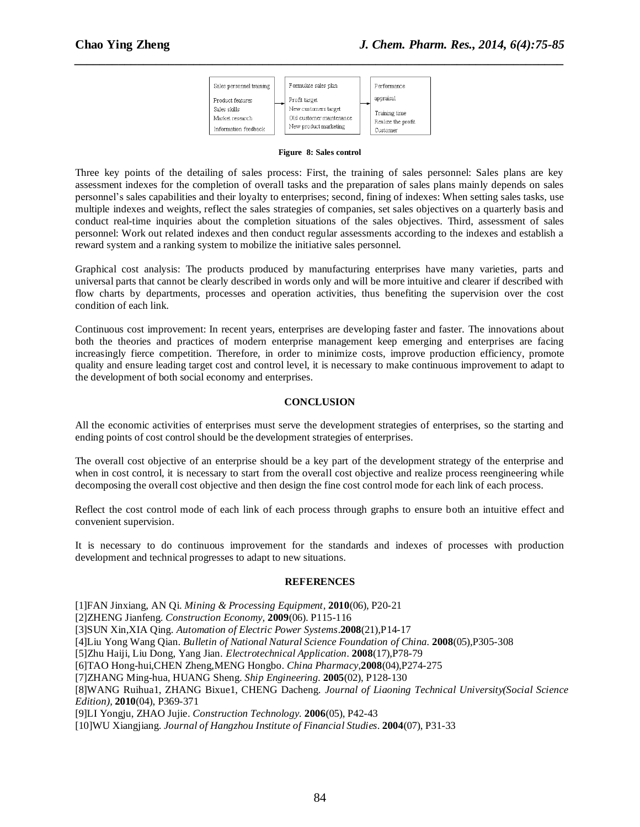| Sales personnel training | Formulate sales plan     | Performance        |
|--------------------------|--------------------------|--------------------|
| Product features         | Profit target            | appraisal          |
| Sales skills             | New customers target     | Training time      |
| Market research          | Old customer maintenance | Realize the profit |
| Information feedback     | New product marketing    | Customer           |

*\_\_\_\_\_\_\_\_\_\_\_\_\_\_\_\_\_\_\_\_\_\_\_\_\_\_\_\_\_\_\_\_\_\_\_\_\_\_\_\_\_\_\_\_\_\_\_\_\_\_\_\_\_\_\_\_\_\_\_\_\_\_\_\_\_\_\_\_\_\_\_\_\_\_\_\_\_\_*

#### **Figure 8: Sales control**

Three key points of the detailing of sales process: First, the training of sales personnel: Sales plans are key assessment indexes for the completion of overall tasks and the preparation of sales plans mainly depends on sales personnel's sales capabilities and their loyalty to enterprises; second, fining of indexes: When setting sales tasks, use multiple indexes and weights, reflect the sales strategies of companies, set sales objectives on a quarterly basis and conduct real-time inquiries about the completion situations of the sales objectives. Third, assessment of sales personnel: Work out related indexes and then conduct regular assessments according to the indexes and establish a reward system and a ranking system to mobilize the initiative sales personnel.

Graphical cost analysis: The products produced by manufacturing enterprises have many varieties, parts and universal parts that cannot be clearly described in words only and will be more intuitive and clearer if described with flow charts by departments, processes and operation activities, thus benefiting the supervision over the cost condition of each link.

Continuous cost improvement: In recent years, enterprises are developing faster and faster. The innovations about both the theories and practices of modern enterprise management keep emerging and enterprises are facing increasingly fierce competition. Therefore, in order to minimize costs, improve production efficiency, promote quality and ensure leading target cost and control level, it is necessary to make continuous improvement to adapt to the development of both social economy and enterprises.

#### **CONCLUSION**

All the economic activities of enterprises must serve the development strategies of enterprises, so the starting and ending points of cost control should be the development strategies of enterprises.

The overall cost objective of an enterprise should be a key part of the development strategy of the enterprise and when in cost control, it is necessary to start from the overall cost objective and realize process reengineering while decomposing the overall cost objective and then design the fine cost control mode for each link of each process.

Reflect the cost control mode of each link of each process through graphs to ensure both an intuitive effect and convenient supervision.

It is necessary to do continuous improvement for the standards and indexes of processes with production development and technical progresses to adapt to new situations.

#### **REFERENCES**

[1]FAN Jinxiang, AN Qi. *Mining & Processing Equipment*, **2010**(06), P20-21 [2]ZHENG Jianfeng. *Construction Economy,* **2009**(06). P115-116 [3]SUN Xin,XIA Qing. *Automation of Electric Power Systems*.**2008**(21),P14-17 [4]Liu Yong Wang Qian. *Bulletin of National Natural Science Foundation of China.* **2008**(05),P305-308 [5]Zhu Haiji, Liu Dong, Yang Jian. *Electrotechnical Application*. **2008**(17),P78-79 [6]TAO Hong-hui,CHEN Zheng,MENG Hongbo. *China Pharmacy*,**2008**(04),P274-275 [7]ZHANG Ming-hua, HUANG Sheng. *Ship Engineering.* **2005**(02), P128-130 [8]WANG Ruihua1, ZHANG Bixue1, CHENG Dacheng. *Journal of Liaoning Technical University(Social Science Edition),* **2010**(04), P369-371 [9]LI Yongju, ZHAO Jujie. *Construction Technology.* **2006**(05), P42-43 [10]WU Xiangjiang. *Journal of Hangzhou Institute of Financial Studies*. **2004**(07), P31-33